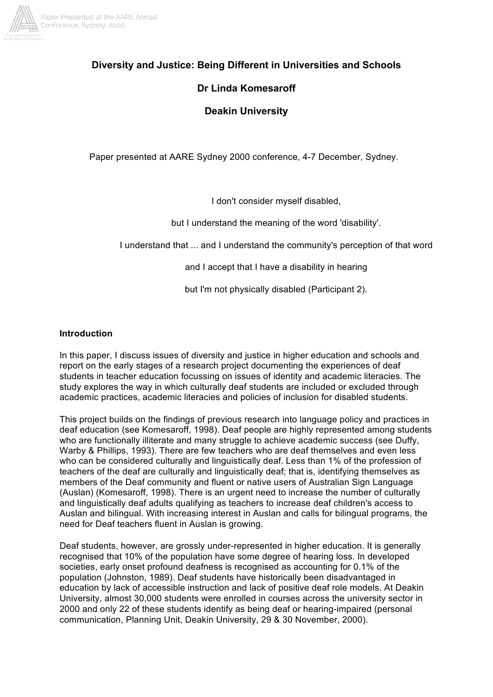

# **Diversity and Justice: Being Different in Universities and Schools**

# **Dr Linda Komesaroff**

# **Deakin University**

Paper presented at AARE Sydney 2000 conference, 4-7 December, Sydney.

I don't consider myself disabled,

but I understand the meaning of the word 'disability'.

I understand that ... and I understand the community's perception of that word

and I accept that I have a disability in hearing

but I'm not physically disabled (Participant 2).

### **Introduction**

In this paper, I discuss issues of diversity and justice in higher education and schools and report on the early stages of a research project documenting the experiences of deaf students in teacher education focussing on issues of identity and academic literacies. The study explores the way in which culturally deaf students are included or excluded through academic practices, academic literacies and policies of inclusion for disabled students.

This project builds on the findings of previous research into language policy and practices in deaf education (see Komesaroff, 1998). Deaf people are highly represented among students who are functionally illiterate and many struggle to achieve academic success (see Duffy, Warby & Phillips, 1993). There are few teachers who are deaf themselves and even less who can be considered culturally and linguistically deaf. Less than 1% of the profession of teachers of the deaf are culturally and linguistically deaf; that is, identifying themselves as members of the Deaf community and fluent or native users of Australian Sign Language (Auslan) (Komesaroff, 1998). There is an urgent need to increase the number of culturally and linguistically deaf adults qualifying as teachers to increase deaf children's access to Auslan and bilingual. With increasing interest in Auslan and calls for bilingual programs, the need for Deaf teachers fluent in Auslan is growing.

Deaf students, however, are grossly under-represented in higher education. It is generally recognised that 10% of the population have some degree of hearing loss. In developed societies, early onset profound deafness is recognised as accounting for 0.1% of the population (Johnston, 1989). Deaf students have historically been disadvantaged in education by lack of accessible instruction and lack of positive deaf role models. At Deakin University, almost 30,000 students were enrolled in courses across the university sector in 2000 and only 22 of these students identify as being deaf or hearing-impaired (personal communication, Planning Unit, Deakin University, 29 & 30 November, 2000).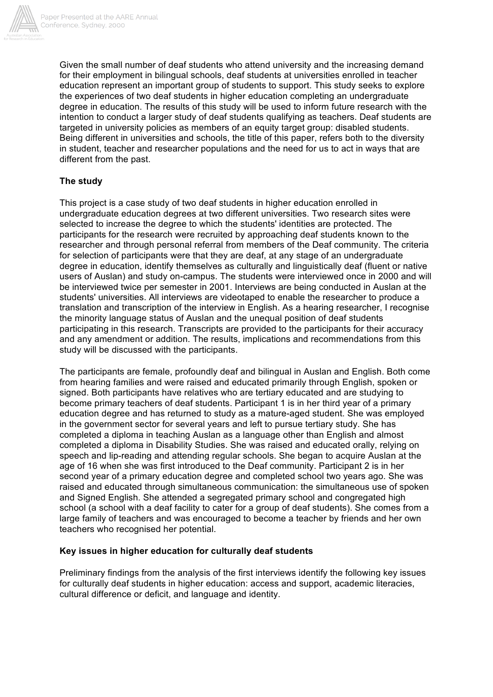

Given the small number of deaf students who attend university and the increasing demand for their employment in bilingual schools, deaf students at universities enrolled in teacher education represent an important group of students to support. This study seeks to explore the experiences of two deaf students in higher education completing an undergraduate degree in education. The results of this study will be used to inform future research with the intention to conduct a larger study of deaf students qualifying as teachers. Deaf students are targeted in university policies as members of an equity target group: disabled students. Being different in universities and schools, the title of this paper, refers both to the diversity in student, teacher and researcher populations and the need for us to act in ways that are different from the past.

# **The study**

This project is a case study of two deaf students in higher education enrolled in undergraduate education degrees at two different universities. Two research sites were selected to increase the degree to which the students' identities are protected. The participants for the research were recruited by approaching deaf students known to the researcher and through personal referral from members of the Deaf community. The criteria for selection of participants were that they are deaf, at any stage of an undergraduate degree in education, identify themselves as culturally and linguistically deaf (fluent or native users of Auslan) and study on-campus. The students were interviewed once in 2000 and will be interviewed twice per semester in 2001. Interviews are being conducted in Auslan at the students' universities. All interviews are videotaped to enable the researcher to produce a translation and transcription of the interview in English. As a hearing researcher, I recognise the minority language status of Auslan and the unequal position of deaf students participating in this research. Transcripts are provided to the participants for their accuracy and any amendment or addition. The results, implications and recommendations from this study will be discussed with the participants.

The participants are female, profoundly deaf and bilingual in Auslan and English. Both come from hearing families and were raised and educated primarily through English, spoken or signed. Both participants have relatives who are tertiary educated and are studying to become primary teachers of deaf students. Participant 1 is in her third year of a primary education degree and has returned to study as a mature-aged student. She was employed in the government sector for several years and left to pursue tertiary study. She has completed a diploma in teaching Auslan as a language other than English and almost completed a diploma in Disability Studies. She was raised and educated orally, relying on speech and lip-reading and attending regular schools. She began to acquire Auslan at the age of 16 when she was first introduced to the Deaf community. Participant 2 is in her second year of a primary education degree and completed school two years ago. She was raised and educated through simultaneous communication: the simultaneous use of spoken and Signed English. She attended a segregated primary school and congregated high school (a school with a deaf facility to cater for a group of deaf students). She comes from a large family of teachers and was encouraged to become a teacher by friends and her own teachers who recognised her potential.

## **Key issues in higher education for culturally deaf students**

Preliminary findings from the analysis of the first interviews identify the following key issues for culturally deaf students in higher education: access and support, academic literacies, cultural difference or deficit, and language and identity.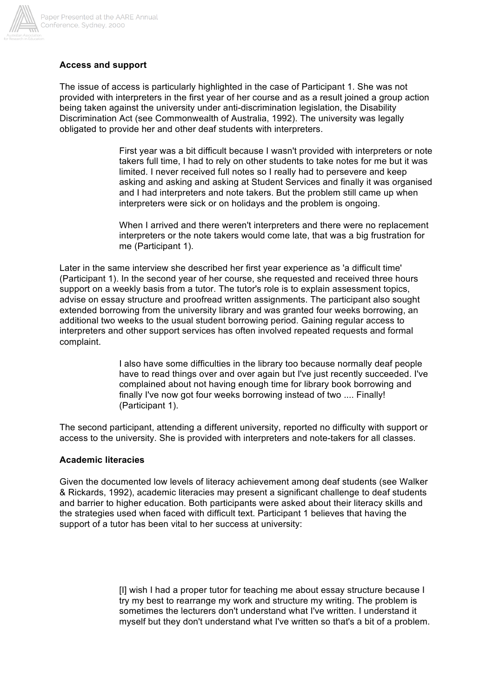

# **Access and support**

The issue of access is particularly highlighted in the case of Participant 1. She was not provided with interpreters in the first year of her course and as a result joined a group action being taken against the university under anti-discrimination legislation, the Disability Discrimination Act (see Commonwealth of Australia, 1992). The university was legally obligated to provide her and other deaf students with interpreters.

> First year was a bit difficult because I wasn't provided with interpreters or note takers full time, I had to rely on other students to take notes for me but it was limited. I never received full notes so I really had to persevere and keep asking and asking and asking at Student Services and finally it was organised and I had interpreters and note takers. But the problem still came up when interpreters were sick or on holidays and the problem is ongoing.

When I arrived and there weren't interpreters and there were no replacement interpreters or the note takers would come late, that was a big frustration for me (Participant 1).

Later in the same interview she described her first year experience as 'a difficult time' (Participant 1). In the second year of her course, she requested and received three hours support on a weekly basis from a tutor. The tutor's role is to explain assessment topics, advise on essay structure and proofread written assignments. The participant also sought extended borrowing from the university library and was granted four weeks borrowing, an additional two weeks to the usual student borrowing period. Gaining regular access to interpreters and other support services has often involved repeated requests and formal complaint.

> I also have some difficulties in the library too because normally deaf people have to read things over and over again but I've just recently succeeded. I've complained about not having enough time for library book borrowing and finally I've now got four weeks borrowing instead of two .... Finally! (Participant 1).

The second participant, attending a different university, reported no difficulty with support or access to the university. She is provided with interpreters and note-takers for all classes.

#### **Academic literacies**

Given the documented low levels of literacy achievement among deaf students (see Walker & Rickards, 1992), academic literacies may present a significant challenge to deaf students and barrier to higher education. Both participants were asked about their literacy skills and the strategies used when faced with difficult text. Participant 1 believes that having the support of a tutor has been vital to her success at university:

> [I] wish I had a proper tutor for teaching me about essay structure because I try my best to rearrange my work and structure my writing. The problem is sometimes the lecturers don't understand what I've written. I understand it myself but they don't understand what I've written so that's a bit of a problem.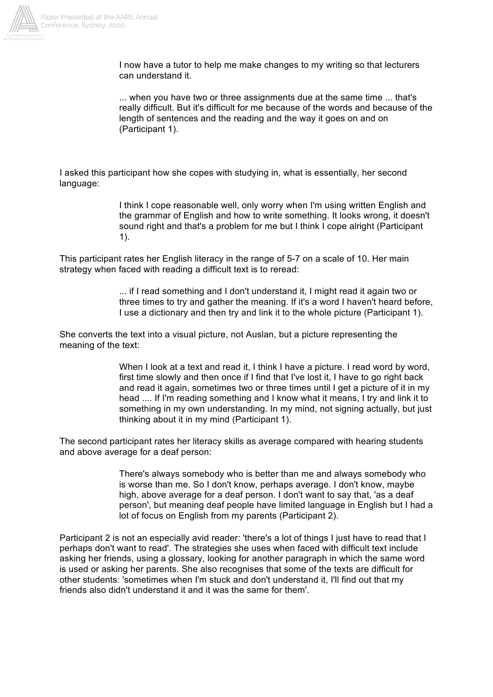

I now have a tutor to help me make changes to my writing so that lecturers can understand it.

... when you have two or three assignments due at the same time ... that's really difficult. But it's difficult for me because of the words and because of the length of sentences and the reading and the way it goes on and on (Participant 1).

I asked this participant how she copes with studying in, what is essentially, her second language:

> I think I cope reasonable well, only worry when I'm using written English and the grammar of English and how to write something. It looks wrong, it doesn't sound right and that's a problem for me but I think I cope alright (Participant 1).

This participant rates her English literacy in the range of 5-7 on a scale of 10. Her main strategy when faced with reading a difficult text is to reread:

> ... if I read something and I don't understand it, I might read it again two or three times to try and gather the meaning. If it's a word I haven't heard before, I use a dictionary and then try and link it to the whole picture (Participant 1).

She converts the text into a visual picture, not Auslan, but a picture representing the meaning of the text:

> When I look at a text and read it, I think I have a picture. I read word by word, first time slowly and then once if I find that I've lost it, I have to go right back and read it again, sometimes two or three times until I get a picture of it in my head .... If I'm reading something and I know what it means, I try and link it to something in my own understanding. In my mind, not signing actually, but just thinking about it in my mind (Participant 1).

The second participant rates her literacy skills as average compared with hearing students and above average for a deaf person:

> There's always somebody who is better than me and always somebody who is worse than me. So I don't know, perhaps average. I don't know, maybe high, above average for a deaf person. I don't want to say that, 'as a deaf person', but meaning deaf people have limited language in English but I had a lot of focus on English from my parents (Participant 2).

Participant 2 is not an especially avid reader: 'there's a lot of things I just have to read that I perhaps don't want to read'. The strategies she uses when faced with difficult text include asking her friends, using a glossary, looking for another paragraph in which the same word is used or asking her parents. She also recognises that some of the texts are difficult for other students: 'sometimes when I'm stuck and don't understand it, I'll find out that my friends also didn't understand it and it was the same for them'.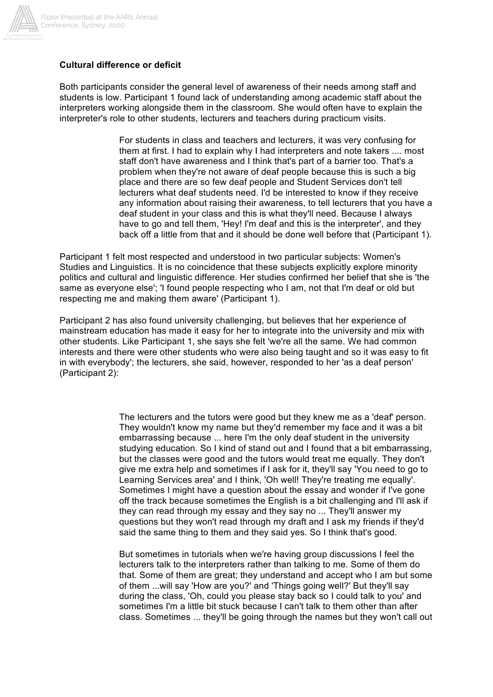

### **Cultural difference or deficit**

Both participants consider the general level of awareness of their needs among staff and students is low. Participant 1 found lack of understanding among academic staff about the interpreters working alongside them in the classroom. She would often have to explain the interpreter's role to other students, lecturers and teachers during practicum visits.

> For students in class and teachers and lecturers, it was very confusing for them at first. I had to explain why I had interpreters and note takers .... most staff don't have awareness and I think that's part of a barrier too. That's a problem when they're not aware of deaf people because this is such a big place and there are so few deaf people and Student Services don't tell lecturers what deaf students need. I'd be interested to know if they receive any information about raising their awareness, to tell lecturers that you have a deaf student in your class and this is what they'll need. Because I always have to go and tell them, 'Hey! I'm deaf and this is the interpreter', and they back off a little from that and it should be done well before that (Participant 1).

Participant 1 felt most respected and understood in two particular subjects: Women's Studies and Linguistics. It is no coincidence that these subjects explicitly explore minority politics and cultural and linguistic difference. Her studies confirmed her belief that she is 'the same as everyone else'; 'I found people respecting who I am, not that I'm deaf or old but respecting me and making them aware' (Participant 1).

Participant 2 has also found university challenging, but believes that her experience of mainstream education has made it easy for her to integrate into the university and mix with other students. Like Participant 1, she says she felt 'we're all the same. We had common interests and there were other students who were also being taught and so it was easy to fit in with everybody'; the lecturers, she said, however, responded to her 'as a deaf person' (Participant 2):

> The lecturers and the tutors were good but they knew me as a 'deaf' person. They wouldn't know my name but they'd remember my face and it was a bit embarrassing because ... here I'm the only deaf student in the university studying education. So I kind of stand out and I found that a bit embarrassing, but the classes were good and the tutors would treat me equally. They don't give me extra help and sometimes if I ask for it, they'll say 'You need to go to Learning Services area' and I think, 'Oh well! They're treating me equally'. Sometimes I might have a question about the essay and wonder if I've gone off the track because sometimes the English is a bit challenging and I'll ask if they can read through my essay and they say no ... They'll answer my questions but they won't read through my draft and I ask my friends if they'd said the same thing to them and they said yes. So I think that's good.

> But sometimes in tutorials when we're having group discussions I feel the lecturers talk to the interpreters rather than talking to me. Some of them do that. Some of them are great; they understand and accept who I am but some of them ...will say 'How are you?' and 'Things going well?' But they'll say during the class, 'Oh, could you please stay back so I could talk to you' and sometimes I'm a little bit stuck because I can't talk to them other than after class. Sometimes ... they'll be going through the names but they won't call out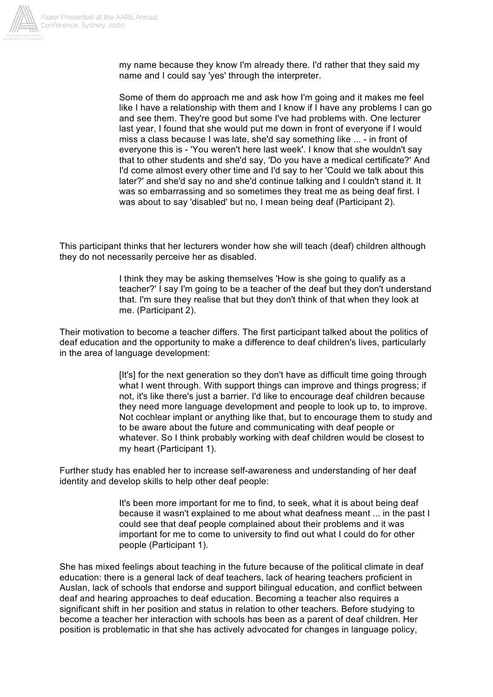

my name because they know I'm already there. I'd rather that they said my name and I could say 'yes' through the interpreter.

Some of them do approach me and ask how I'm going and it makes me feel like I have a relationship with them and I know if I have any problems I can go and see them. They're good but some I've had problems with. One lecturer last year, I found that she would put me down in front of everyone if I would miss a class because I was late, she'd say something like ... - in front of everyone this is - 'You weren't here last week'. I know that she wouldn't say that to other students and she'd say, 'Do you have a medical certificate?' And I'd come almost every other time and I'd say to her 'Could we talk about this later?' and she'd say no and she'd continue talking and I couldn't stand it. It was so embarrassing and so sometimes they treat me as being deaf first. I was about to say 'disabled' but no, I mean being deaf (Participant 2).

This participant thinks that her lecturers wonder how she will teach (deaf) children although they do not necessarily perceive her as disabled.

> I think they may be asking themselves 'How is she going to qualify as a teacher?' I say I'm going to be a teacher of the deaf but they don't understand that. I'm sure they realise that but they don't think of that when they look at me. (Participant 2).

Their motivation to become a teacher differs. The first participant talked about the politics of deaf education and the opportunity to make a difference to deaf children's lives, particularly in the area of language development:

> [It's] for the next generation so they don't have as difficult time going through what I went through. With support things can improve and things progress; if not, it's like there's just a barrier. I'd like to encourage deaf children because they need more language development and people to look up to, to improve. Not cochlear implant or anything like that, but to encourage them to study and to be aware about the future and communicating with deaf people or whatever. So I think probably working with deaf children would be closest to my heart (Participant 1).

Further study has enabled her to increase self-awareness and understanding of her deaf identity and develop skills to help other deaf people:

> It's been more important for me to find, to seek, what it is about being deaf because it wasn't explained to me about what deafness meant ... in the past I could see that deaf people complained about their problems and it was important for me to come to university to find out what I could do for other people (Participant 1).

She has mixed feelings about teaching in the future because of the political climate in deaf education: there is a general lack of deaf teachers, lack of hearing teachers proficient in Auslan, lack of schools that endorse and support bilingual education, and conflict between deaf and hearing approaches to deaf education. Becoming a teacher also requires a significant shift in her position and status in relation to other teachers. Before studying to become a teacher her interaction with schools has been as a parent of deaf children. Her position is problematic in that she has actively advocated for changes in language policy,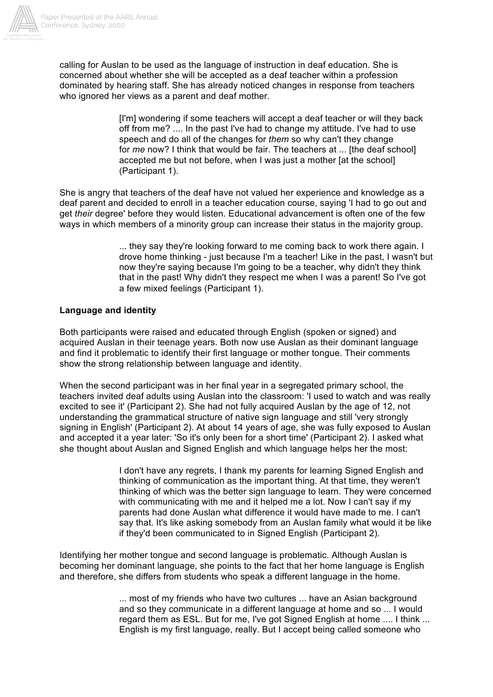

calling for Auslan to be used as the language of instruction in deaf education. She is concerned about whether she will be accepted as a deaf teacher within a profession dominated by hearing staff. She has already noticed changes in response from teachers who ignored her views as a parent and deaf mother.

> [I'm] wondering if some teachers will accept a deaf teacher or will they back off from me? .... In the past I've had to change my attitude. I've had to use speech and do all of the changes for *them* so why can't they change for *me* now? I think that would be fair. The teachers at ... [the deaf school] accepted me but not before, when I was just a mother lat the schooll (Participant 1).

She is angry that teachers of the deaf have not valued her experience and knowledge as a deaf parent and decided to enroll in a teacher education course, saying 'I had to go out and get *their* degree' before they would listen. Educational advancement is often one of the few ways in which members of a minority group can increase their status in the majority group.

> ... they say they're looking forward to me coming back to work there again. I drove home thinking - just because I'm a teacher! Like in the past, I wasn't but now they're saying because I'm going to be a teacher, why didn't they think that in the past! Why didn't they respect me when I was a parent! So I've got a few mixed feelings (Participant 1).

### **Language and identity**

Both participants were raised and educated through English (spoken or signed) and acquired Auslan in their teenage years. Both now use Auslan as their dominant language and find it problematic to identify their first language or mother tongue. Their comments show the strong relationship between language and identity.

When the second participant was in her final year in a segregated primary school, the teachers invited deaf adults using Auslan into the classroom: 'I used to watch and was really excited to see it' (Participant 2). She had not fully acquired Auslan by the age of 12, not understanding the grammatical structure of native sign language and still 'very strongly signing in English' (Participant 2). At about 14 years of age, she was fully exposed to Auslan and accepted it a year later: 'So it's only been for a short time' (Participant 2). I asked what she thought about Auslan and Signed English and which language helps her the most:

> I don't have any regrets, I thank my parents for learning Signed English and thinking of communication as the important thing. At that time, they weren't thinking of which was the better sign language to learn. They were concerned with communicating with me and it helped me a lot. Now I can't say if my parents had done Auslan what difference it would have made to me. I can't say that. It's like asking somebody from an Auslan family what would it be like if they'd been communicated to in Signed English (Participant 2).

Identifying her mother tongue and second language is problematic. Although Auslan is becoming her dominant language, she points to the fact that her home language is English and therefore, she differs from students who speak a different language in the home.

> ... most of my friends who have two cultures ... have an Asian background and so they communicate in a different language at home and so ... I would regard them as ESL. But for me, I've got Signed English at home .... I think ... English is my first language, really. But I accept being called someone who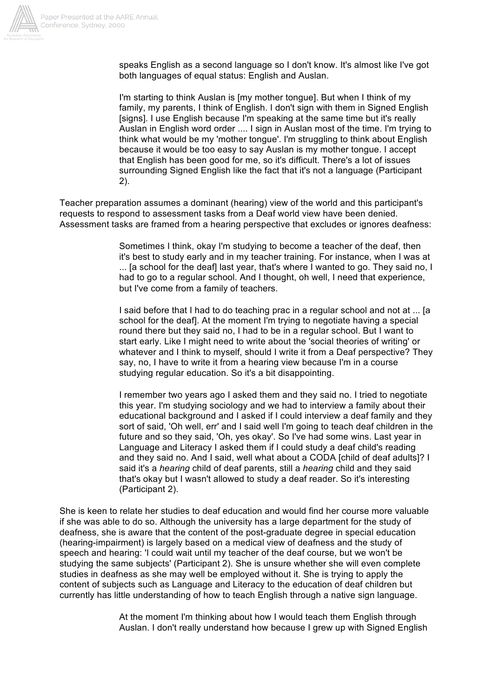

speaks English as a second language so I don't know. It's almost like I've got both languages of equal status: English and Auslan.

I'm starting to think Auslan is Imy mother tonguel. But when I think of my family, my parents, I think of English. I don't sign with them in Signed English [signs]. I use English because I'm speaking at the same time but it's really Auslan in English word order .... I sign in Auslan most of the time. I'm trying to think what would be my 'mother tongue'. I'm struggling to think about English because it would be too easy to say Auslan is my mother tongue. I accept that English has been good for me, so it's difficult. There's a lot of issues surrounding Signed English like the fact that it's not a language (Participant 2).

Teacher preparation assumes a dominant (hearing) view of the world and this participant's requests to respond to assessment tasks from a Deaf world view have been denied. Assessment tasks are framed from a hearing perspective that excludes or ignores deafness:

> Sometimes I think, okay I'm studying to become a teacher of the deaf, then it's best to study early and in my teacher training. For instance, when I was at ... [a school for the deaf] last year, that's where I wanted to go. They said no, I had to go to a regular school. And I thought, oh well, I need that experience, but I've come from a family of teachers.

> I said before that I had to do teaching prac in a regular school and not at ... [a school for the deaf]. At the moment I'm trying to negotiate having a special round there but they said no, I had to be in a regular school. But I want to start early. Like I might need to write about the 'social theories of writing' or whatever and I think to myself, should I write it from a Deaf perspective? They say, no, I have to write it from a hearing view because I'm in a course studying regular education. So it's a bit disappointing.

> I remember two years ago I asked them and they said no. I tried to negotiate this year. I'm studying sociology and we had to interview a family about their educational background and I asked if I could interview a deaf family and they sort of said, 'Oh well, err' and I said well I'm going to teach deaf children in the future and so they said, 'Oh, yes okay'. So I've had some wins. Last year in Language and Literacy I asked them if I could study a deaf child's reading and they said no. And I said, well what about a CODA [child of deaf adults]? I said it's a *hearing* child of deaf parents, still a *hearing* child and they said that's okay but I wasn't allowed to study a deaf reader. So it's interesting (Participant 2).

She is keen to relate her studies to deaf education and would find her course more valuable if she was able to do so. Although the university has a large department for the study of deafness, she is aware that the content of the post-graduate degree in special education (hearing-impairment) is largely based on a medical view of deafness and the study of speech and hearing: 'I could wait until my teacher of the deaf course, but we won't be studying the same subjects' (Participant 2). She is unsure whether she will even complete studies in deafness as she may well be employed without it. She is trying to apply the content of subjects such as Language and Literacy to the education of deaf children but currently has little understanding of how to teach English through a native sign language.

> At the moment I'm thinking about how I would teach them English through Auslan. I don't really understand how because I grew up with Signed English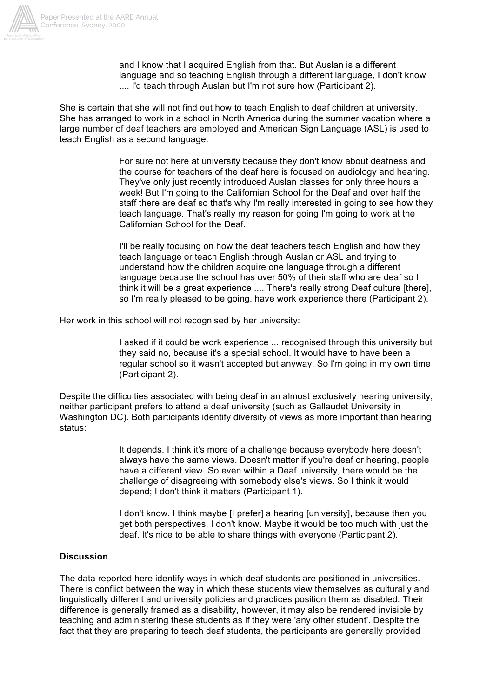

and I know that I acquired English from that. But Auslan is a different language and so teaching English through a different language, I don't know .... I'd teach through Auslan but I'm not sure how (Participant 2).

She is certain that she will not find out how to teach English to deaf children at university. She has arranged to work in a school in North America during the summer vacation where a large number of deaf teachers are employed and American Sign Language (ASL) is used to teach English as a second language:

> For sure not here at university because they don't know about deafness and the course for teachers of the deaf here is focused on audiology and hearing. They've only just recently introduced Auslan classes for only three hours a week! But I'm going to the Californian School for the Deaf and over half the staff there are deaf so that's why I'm really interested in going to see how they teach language. That's really my reason for going I'm going to work at the Californian School for the Deaf.

> I'll be really focusing on how the deaf teachers teach English and how they teach language or teach English through Auslan or ASL and trying to understand how the children acquire one language through a different language because the school has over 50% of their staff who are deaf so I think it will be a great experience .... There's really strong Deaf culture [there], so I'm really pleased to be going. have work experience there (Participant 2).

Her work in this school will not recognised by her university:

I asked if it could be work experience ... recognised through this university but they said no, because it's a special school. It would have to have been a regular school so it wasn't accepted but anyway. So I'm going in my own time (Participant 2).

Despite the difficulties associated with being deaf in an almost exclusively hearing university, neither participant prefers to attend a deaf university (such as Gallaudet University in Washington DC). Both participants identify diversity of views as more important than hearing status:

> It depends. I think it's more of a challenge because everybody here doesn't always have the same views. Doesn't matter if you're deaf or hearing, people have a different view. So even within a Deaf university, there would be the challenge of disagreeing with somebody else's views. So I think it would depend; I don't think it matters (Participant 1).

> I don't know. I think maybe II preferl a hearing [university], because then you get both perspectives. I don't know. Maybe it would be too much with just the deaf. It's nice to be able to share things with everyone (Participant 2).

### **Discussion**

The data reported here identify ways in which deaf students are positioned in universities. There is conflict between the way in which these students view themselves as culturally and linguistically different and university policies and practices position them as disabled. Their difference is generally framed as a disability, however, it may also be rendered invisible by teaching and administering these students as if they were 'any other student'. Despite the fact that they are preparing to teach deaf students, the participants are generally provided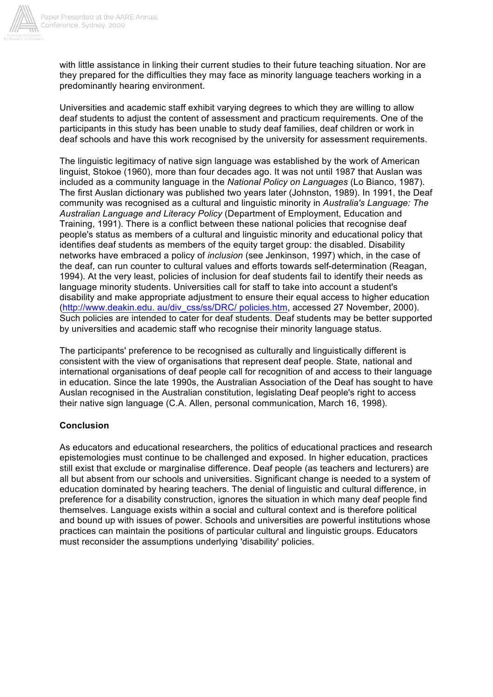

Paper Presented at the AARE Annual Conference, Sydney, 2000

> with little assistance in linking their current studies to their future teaching situation. Nor are they prepared for the difficulties they may face as minority language teachers working in a predominantly hearing environment.

> Universities and academic staff exhibit varying degrees to which they are willing to allow deaf students to adjust the content of assessment and practicum requirements. One of the participants in this study has been unable to study deaf families, deaf children or work in deaf schools and have this work recognised by the university for assessment requirements.

The linguistic legitimacy of native sign language was established by the work of American linguist, Stokoe (1960), more than four decades ago. It was not until 1987 that Auslan was included as a community language in the *National Policy on Languages* (Lo Bianco, 1987). The first Auslan dictionary was published two years later (Johnston, 1989). In 1991, the Deaf community was recognised as a cultural and linguistic minority in *Australia's Language: The Australian Language and Literacy Policy* (Department of Employment, Education and Training, 1991). There is a conflict between these national policies that recognise deaf people's status as members of a cultural and linguistic minority and educational policy that identifies deaf students as members of the equity target group: the disabled. Disability networks have embraced a policy of *inclusion* (see Jenkinson, 1997) which, in the case of the deaf, can run counter to cultural values and efforts towards self-determination (Reagan, 1994). At the very least, policies of inclusion for deaf students fail to identify their needs as language minority students. Universities call for staff to take into account a student's disability and make appropriate adjustment to ensure their equal access to higher education (http://www.deakin.edu. au/div\_css/ss/DRC/ policies.htm, accessed 27 November, 2000). Such policies are intended to cater for deaf students. Deaf students may be better supported by universities and academic staff who recognise their minority language status.

The participants' preference to be recognised as culturally and linguistically different is consistent with the view of organisations that represent deaf people. State, national and international organisations of deaf people call for recognition of and access to their language in education. Since the late 1990s, the Australian Association of the Deaf has sought to have Auslan recognised in the Australian constitution, legislating Deaf people's right to access their native sign language (C.A. Allen, personal communication, March 16, 1998).

#### **Conclusion**

As educators and educational researchers, the politics of educational practices and research epistemologies must continue to be challenged and exposed. In higher education, practices still exist that exclude or marginalise difference. Deaf people (as teachers and lecturers) are all but absent from our schools and universities. Significant change is needed to a system of education dominated by hearing teachers. The denial of linguistic and cultural difference, in preference for a disability construction, ignores the situation in which many deaf people find themselves. Language exists within a social and cultural context and is therefore political and bound up with issues of power. Schools and universities are powerful institutions whose practices can maintain the positions of particular cultural and linguistic groups. Educators must reconsider the assumptions underlying 'disability' policies.